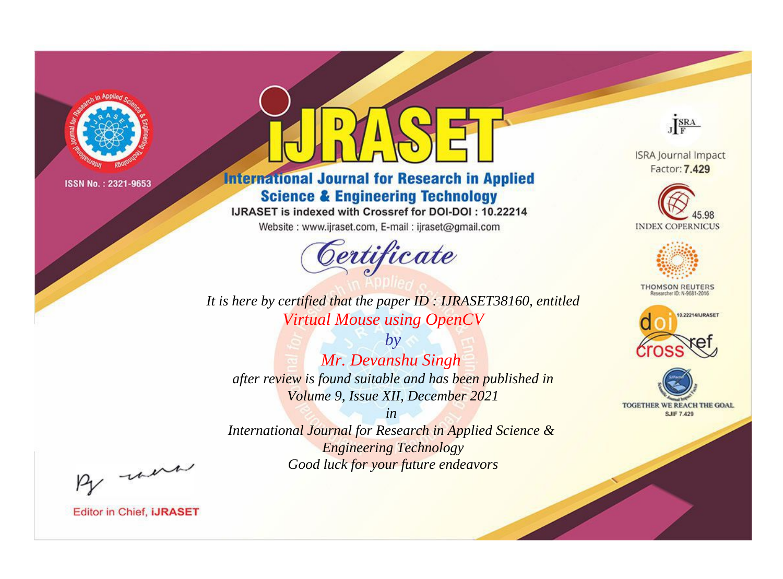

# **International Journal for Research in Applied Science & Engineering Technology**

IJRASET is indexed with Crossref for DOI-DOI: 10.22214

Website: www.ijraset.com, E-mail: ijraset@gmail.com



JERA

**ISRA Journal Impact** Factor: 7.429





**THOMSON REUTERS** 



TOGETHER WE REACH THE GOAL **SJIF 7.429** 

It is here by certified that the paper ID: IJRASET38160, entitled **Virtual Mouse using OpenCV** 

 $by$ Mr. Devanshu Singh after review is found suitable and has been published in Volume 9, Issue XII, December 2021

 $in$ International Journal for Research in Applied Science & **Engineering Technology** Good luck for your future endeavors

By morn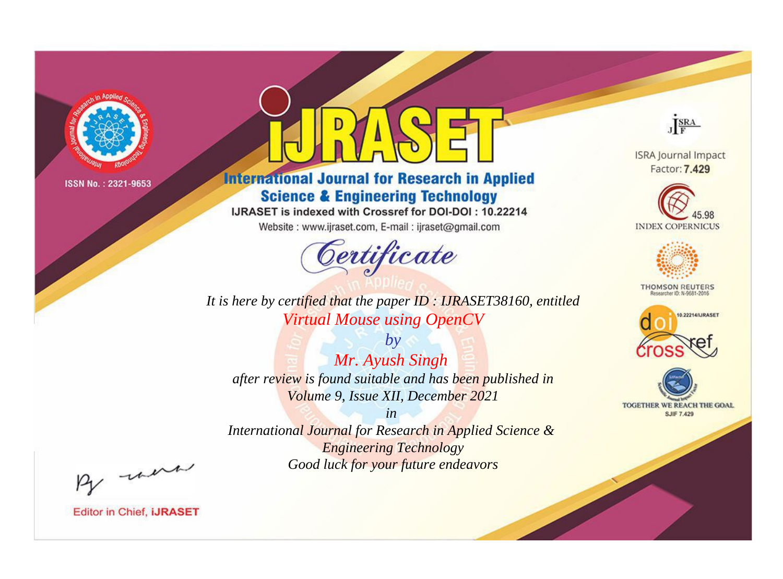

# **International Journal for Research in Applied Science & Engineering Technology**

IJRASET is indexed with Crossref for DOI-DOI: 10.22214

Website: www.ijraset.com, E-mail: ijraset@gmail.com



**ISRA Journal Impact** Factor: 7.429

JERA





**THOMSON REUTERS** 



TOGETHER WE REACH THE GOAL **SJIF 7.429** 

It is here by certified that the paper ID: IJRASET38160, entitled **Virtual Mouse using OpenCV** 

 $by$ Mr. Ayush Singh after review is found suitable and has been published in Volume 9, Issue XII, December 2021

 $in$ International Journal for Research in Applied Science & **Engineering Technology** Good luck for your future endeavors

By morn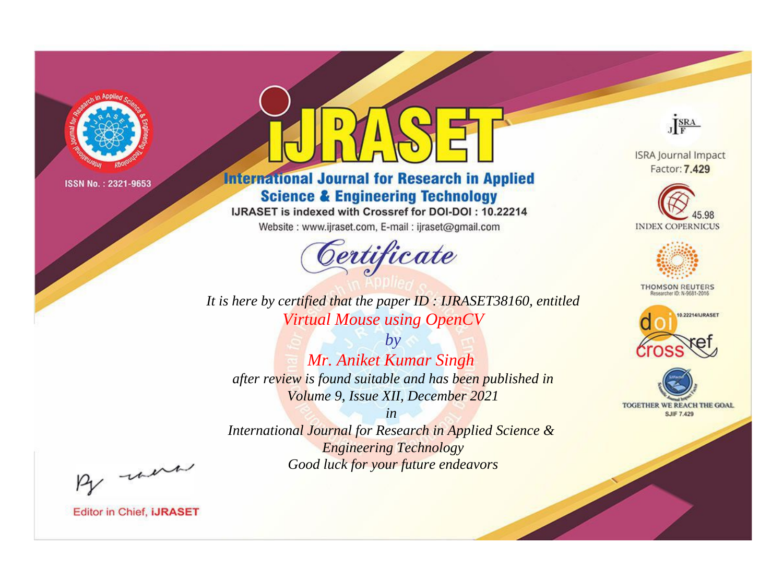

# **International Journal for Research in Applied Science & Engineering Technology**

IJRASET is indexed with Crossref for DOI-DOI: 10.22214

Website: www.ijraset.com, E-mail: ijraset@gmail.com



JERA

**ISRA Journal Impact** Factor: 7.429





**THOMSON REUTERS** 



TOGETHER WE REACH THE GOAL **SJIF 7.429** 

It is here by certified that the paper ID: IJRASET38160, entitled **Virtual Mouse using OpenCV** 

 $by$ Mr. Aniket Kumar Singh after review is found suitable and has been published in Volume 9, Issue XII, December 2021

 $in$ International Journal for Research in Applied Science & **Engineering Technology** Good luck for your future endeavors

By morn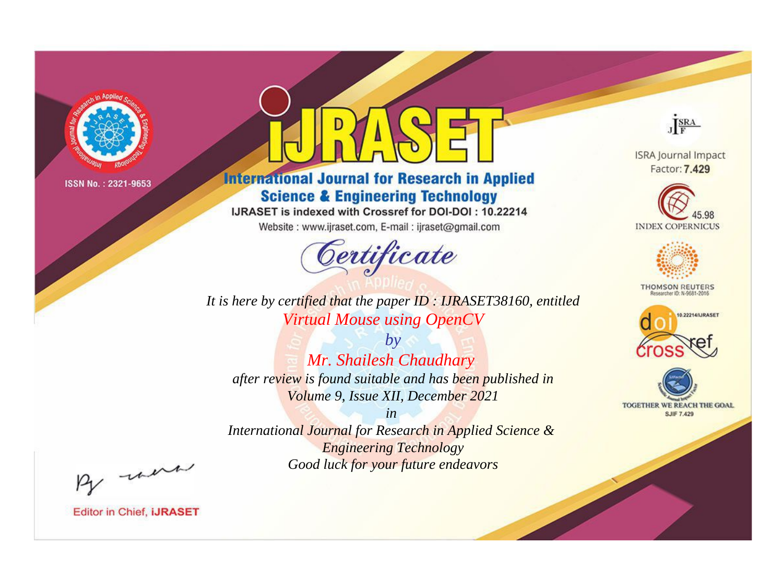

# **International Journal for Research in Applied Science & Engineering Technology**

IJRASET is indexed with Crossref for DOI-DOI: 10.22214

Website: www.ijraset.com, E-mail: ijraset@gmail.com



JERA

**ISRA Journal Impact** Factor: 7.429





**THOMSON REUTERS** 



TOGETHER WE REACH THE GOAL **SJIF 7.429** 

It is here by certified that the paper ID: IJRASET38160, entitled **Virtual Mouse using OpenCV** 

 $by$ Mr. Shailesh Chaudhary after review is found suitable and has been published in Volume 9, Issue XII, December 2021

 $in$ International Journal for Research in Applied Science & **Engineering Technology** Good luck for your future endeavors

By morn